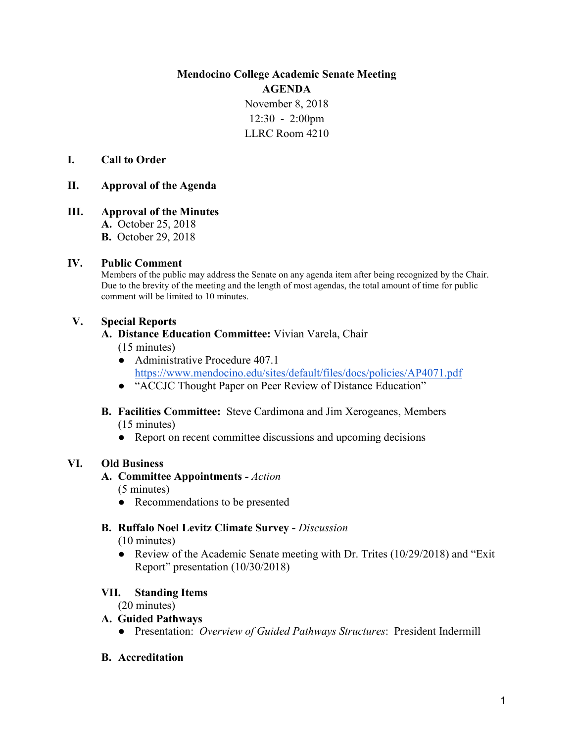**Mendocino College Academic Senate Meeting AGENDA**

> November 8, 2018 12:30 - 2:00pm LLRC Room 4210

### **I. Call to Order**

### **II. Approval of the Agenda**

**III. Approval of the Minutes A.** October 25, 2018 **B.** October 29, 2018

### **IV. Public Comment**

Members of the public may address the Senate on any agenda item after being recognized by the Chair. Due to the brevity of the meeting and the length of most agendas, the total amount of time for public comment will be limited to 10 minutes.

### **V. Special Reports**

### **A. Distance Education Committee:** Vivian Varela, Chair

(15 minutes)

- Administrative Procedure 407.1 <https://www.mendocino.edu/sites/default/files/docs/policies/AP4071.pdf>
- "ACCJC Thought Paper on Peer Review of Distance Education"
- **B. Facilities Committee:** Steve Cardimona and Jim Xerogeanes, Members (15 minutes)
	- Report on recent committee discussions and upcoming decisions

### **VI. Old Business**

### **A. Committee Appointments** *- Action*

(5 minutes)

• Recommendations to be presented

### **B. Ruffalo Noel Levitz Climate Survey -** *Discussion*

(10 minutes)

● Review of the Academic Senate meeting with Dr. Trites (10/29/2018) and "Exit Report" presentation (10/30/2018)

### **VII. Standing Items**

(20 minutes)

### **A. Guided Pathways**

- Presentation: *Overview of Guided Pathways Structures*: President Indermill
- **B. Accreditation**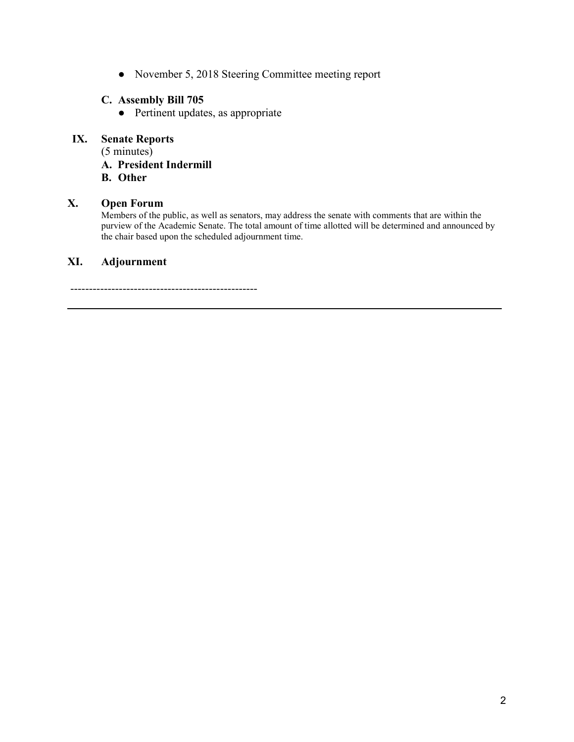● November 5, 2018 Steering Committee meeting report

### **C. Assembly Bill 705**

● Pertinent updates, as appropriate

### **IX. Senate Reports**

(5 minutes)

**A. President Indermill**

**B. Other**

### **X. Open Forum**

Members of the public, as well as senators, may address the senate with comments that are within the purview of the Academic Senate. The total amount of time allotted will be determined and announced by the chair based upon the scheduled adjournment time.

# **XI. Adjournment**

--------------------------------------------------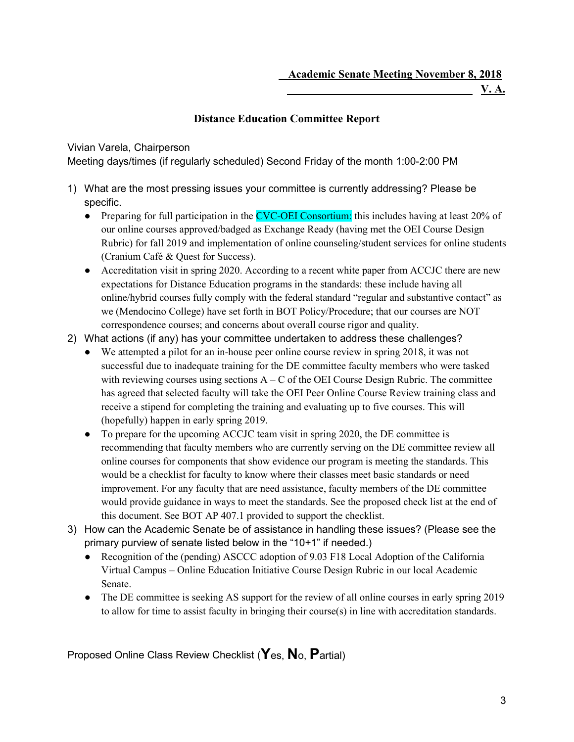*V.A.* **V.A.** 

# **Distance Education Committee Report**

Vivian Varela, Chairperson

Meeting days/times (if regularly scheduled) Second Friday of the month 1:00-2:00 PM

- 1) What are the most pressing issues your committee is currently addressing? Please be specific.
	- Preparing for full participation in the CVC-OEI Consortium: this includes having at least 20% of our online courses approved/badged as Exchange Ready (having met the OEI Course Design Rubric) for fall 2019 and implementation of online counseling/student services for online students (Cranium Café & Quest for Success).
	- Accreditation visit in spring 2020. According to a recent white paper from ACCJC there are new expectations for Distance Education programs in the standards: these include having all online/hybrid courses fully comply with the federal standard "regular and substantive contact" as we (Mendocino College) have set forth in BOT Policy/Procedure; that our courses are NOT correspondence courses; and concerns about overall course rigor and quality.
- 2) What actions (if any) has your committee undertaken to address these challenges?
	- We attempted a pilot for an in-house peer online course review in spring 2018, it was not successful due to inadequate training for the DE committee faculty members who were tasked with reviewing courses using sections  $A - C$  of the OEI Course Design Rubric. The committee has agreed that selected faculty will take the OEI Peer Online Course Review training class and receive a stipend for completing the training and evaluating up to five courses. This will (hopefully) happen in early spring 2019.
	- To prepare for the upcoming ACCJC team visit in spring 2020, the DE committee is recommending that faculty members who are currently serving on the DE committee review all online courses for components that show evidence our program is meeting the standards. This would be a checklist for faculty to know where their classes meet basic standards or need improvement. For any faculty that are need assistance, faculty members of the DE committee would provide guidance in ways to meet the standards. See the proposed check list at the end of this document. See BOT AP 407.1 provided to support the checklist.
- 3) How can the Academic Senate be of assistance in handling these issues? (Please see the primary purview of senate listed below in the "10+1" if needed.)
	- Recognition of the (pending) ASCCC adoption of 9.03 F18 Local Adoption of the California Virtual Campus – Online Education Initiative Course Design Rubric in our local Academic Senate.
	- The DE committee is seeking AS support for the review of all online courses in early spring 2019 to allow for time to assist faculty in bringing their course(s) in line with accreditation standards.

Proposed Online Class Review Checklist (**Y**es, **N**o, **P**artial)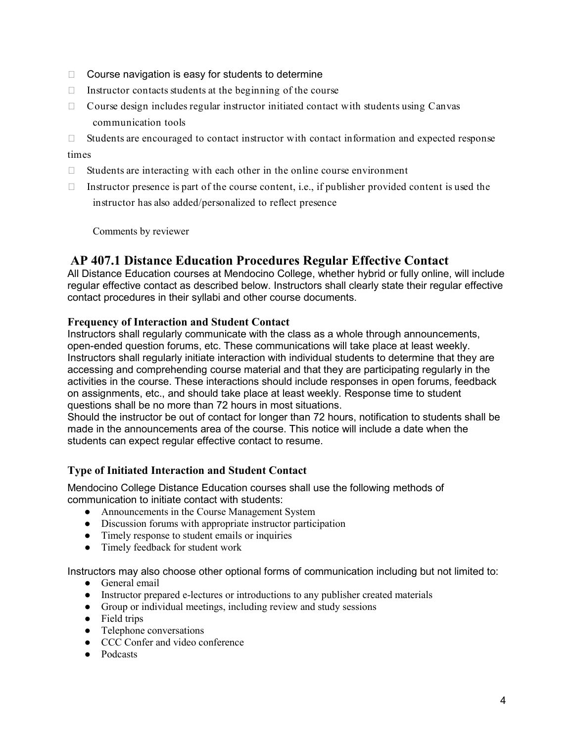- $\Box$  Course navigation is easy for students to determine
- $\Box$  Instructor contacts students at the beginning of the course
- $\Box$  Course design includes regular instructor initiated contact with students using Canvas communication tools
- □ Students are encouraged to contact instructor with contact information and expected response

#### times

- $\Box$  Students are interacting with each other in the online course environment
- $\Box$  Instructor presence is part of the course content, i.e., if publisher provided content is used the instructor has also added/personalized to reflect presence

Comments by reviewer

# **AP 407.1 Distance Education Procedures Regular Effective Contact**

All Distance Education courses at Mendocino College, whether hybrid or fully online, will include regular effective contact as described below. Instructors shall clearly state their regular effective contact procedures in their syllabi and other course documents.

### **Frequency of Interaction and Student Contact**

Instructors shall regularly communicate with the class as a whole through announcements, open-ended question forums, etc. These communications will take place at least weekly. Instructors shall regularly initiate interaction with individual students to determine that they are accessing and comprehending course material and that they are participating regularly in the activities in the course. These interactions should include responses in open forums, feedback on assignments, etc., and should take place at least weekly. Response time to student questions shall be no more than 72 hours in most situations.

Should the instructor be out of contact for longer than 72 hours, notification to students shall be made in the announcements area of the course. This notice will include a date when the students can expect regular effective contact to resume.

### **Type of Initiated Interaction and Student Contact**

Mendocino College Distance Education courses shall use the following methods of communication to initiate contact with students:

- Announcements in the Course Management System
- Discussion forums with appropriate instructor participation
- Timely response to student emails or inquiries
- Timely feedback for student work

Instructors may also choose other optional forms of communication including but not limited to:

- General email
- Instructor prepared e-lectures or introductions to any publisher created materials
- Group or individual meetings, including review and study sessions
- Field trips
- Telephone conversations
- CCC Confer and video conference
- Podcasts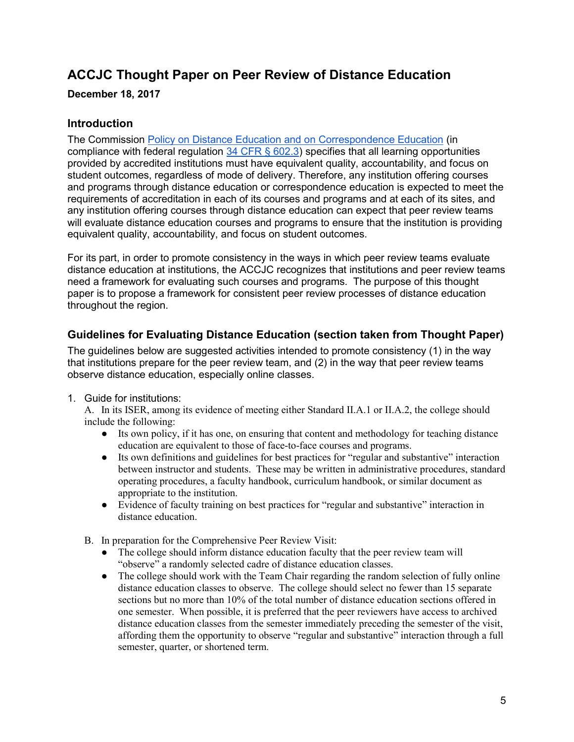# **ACCJC Thought Paper on Peer Review of Distance Education**

**December 18, 2017**

# **Introduction**

The Commissio[n](https://accjc.org/wp-content/uploads/Distance-Correspondence-Education.pdf) [Policy on Distance Education and on Correspondence Education](https://accjc.org/wp-content/uploads/Distance-Correspondence-Education.pdf) (in compliance with federal regulation 34 CFR  $\S$  602.3) specifies that all learning opportunities provided by accredited institutions must have equivalent quality, accountability, and focus on student outcomes, regardless of mode of delivery. Therefore, any institution offering courses and programs through distance education or correspondence education is expected to meet the requirements of accreditation in each of its courses and programs and at each of its sites, and any institution offering courses through distance education can expect that peer review teams will evaluate distance education courses and programs to ensure that the institution is providing equivalent quality, accountability, and focus on student outcomes.

For its part, in order to promote consistency in the ways in which peer review teams evaluate distance education at institutions, the ACCJC recognizes that institutions and peer review teams need a framework for evaluating such courses and programs. The purpose of this thought paper is to propose a framework for consistent peer review processes of distance education throughout the region.

# **Guidelines for Evaluating Distance Education (section taken from Thought Paper)**

The guidelines below are suggested activities intended to promote consistency (1) in the way that institutions prepare for the peer review team, and (2) in the way that peer review teams observe distance education, especially online classes.

1. Guide for institutions:

A. In its ISER, among its evidence of meeting either Standard II.A.1 or II.A.2, the college should include the following:

- Its own policy, if it has one, on ensuring that content and methodology for teaching distance education are equivalent to those of face-to-face courses and programs.
- Its own definitions and guidelines for best practices for "regular and substantive" interaction between instructor and students. These may be written in administrative procedures, standard operating procedures, a faculty handbook, curriculum handbook, or similar document as appropriate to the institution.
- Evidence of faculty training on best practices for "regular and substantive" interaction in distance education.
- B. In preparation for the Comprehensive Peer Review Visit:
	- The college should inform distance education faculty that the peer review team will "observe" a randomly selected cadre of distance education classes.
	- The college should work with the Team Chair regarding the random selection of fully online distance education classes to observe. The college should select no fewer than 15 separate sections but no more than 10% of the total number of distance education sections offered in one semester. When possible, it is preferred that the peer reviewers have access to archived distance education classes from the semester immediately preceding the semester of the visit, affording them the opportunity to observe "regular and substantive" interaction through a full semester, quarter, or shortened term.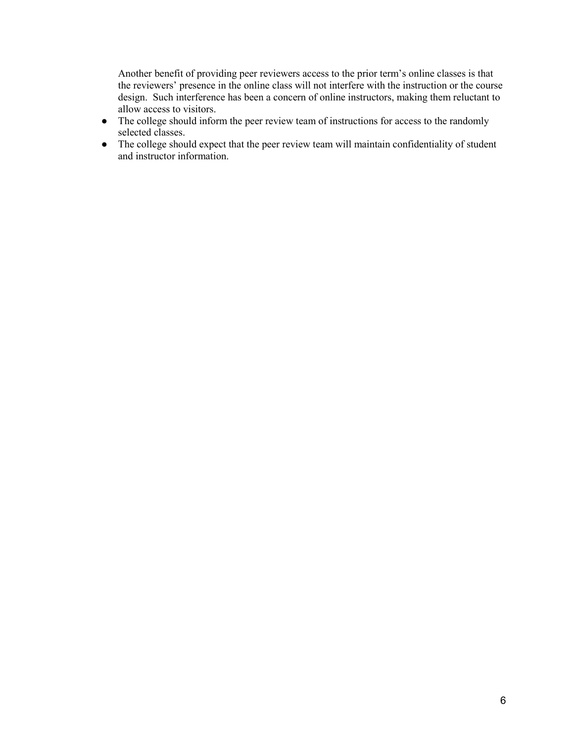Another benefit of providing peer reviewers access to the prior term's online classes is that the reviewers' presence in the online class will not interfere with the instruction or the course design. Such interference has been a concern of online instructors, making them reluctant to allow access to visitors.

- The college should inform the peer review team of instructions for access to the randomly selected classes.
- The college should expect that the peer review team will maintain confidentiality of student and instructor information.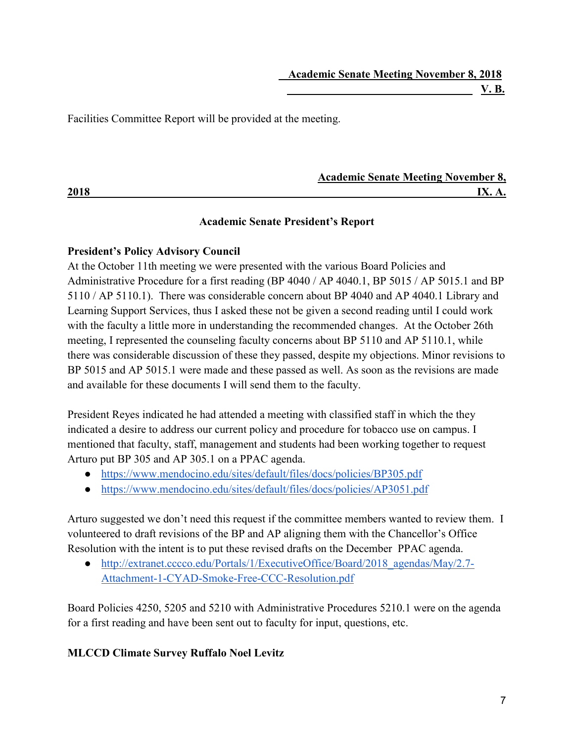Facilities Committee Report will be provided at the meeting.

|      | <b>Academic Senate Meeting November 8,</b> |
|------|--------------------------------------------|
| 2018 |                                            |

# **Academic Senate President's Report**

# **President's Policy Advisory Council**

At the October 11th meeting we were presented with the various Board Policies and Administrative Procedure for a first reading (BP 4040 / AP 4040.1, BP 5015 / AP 5015.1 and BP 5110 / AP 5110.1). There was considerable concern about BP 4040 and AP 4040.1 Library and Learning Support Services, thus I asked these not be given a second reading until I could work with the faculty a little more in understanding the recommended changes. At the October 26th meeting, I represented the counseling faculty concerns about BP 5110 and AP 5110.1, while there was considerable discussion of these they passed, despite my objections. Minor revisions to BP 5015 and AP 5015.1 were made and these passed as well. As soon as the revisions are made and available for these documents I will send them to the faculty.

President Reyes indicated he had attended a meeting with classified staff in which the they indicated a desire to address our current policy and procedure for tobacco use on campus. I mentioned that faculty, staff, management and students had been working together to request Arturo put BP 305 and AP 305.1 on a PPAC agenda.

- <https://www.mendocino.edu/sites/default/files/docs/policies/BP305.pdf>
- <https://www.mendocino.edu/sites/default/files/docs/policies/AP3051.pdf>

Arturo suggested we don't need this request if the committee members wanted to review them. I volunteered to draft revisions of the BP and AP aligning them with the Chancellor's Office Resolution with the intent is to put these revised drafts on the December PPAC agenda.

• http://extranet.cccco.edu/Portals/1/ExecutiveOffice/Board/2018 agendas/May/2.7-[Attachment-1-CYAD-Smoke-Free-CCC-Resolution.pdf](http://extranet.cccco.edu/Portals/1/ExecutiveOffice/Board/2018_agendas/May/2.7-Attachment-1-CYAD-Smoke-Free-CCC-Resolution.pdf)

Board Policies 4250, 5205 and 5210 with Administrative Procedures 5210.1 were on the agenda for a first reading and have been sent out to faculty for input, questions, etc.

# **MLCCD Climate Survey Ruffalo Noel Levitz**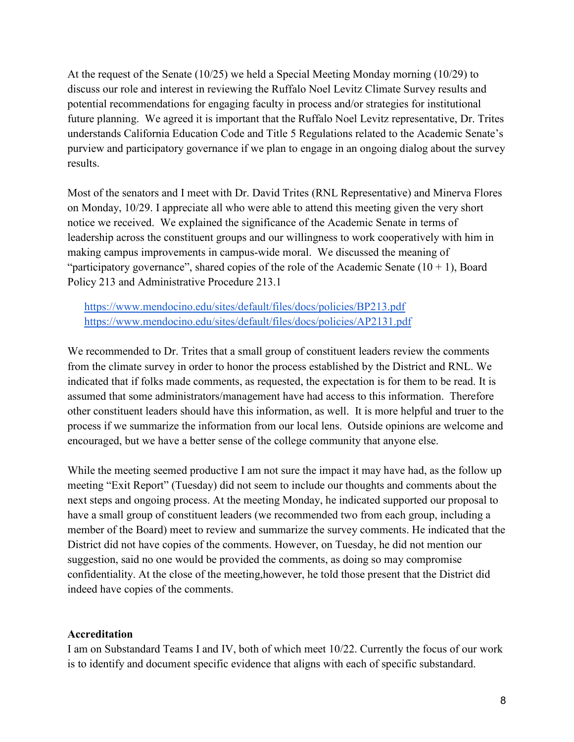At the request of the Senate (10/25) we held a Special Meeting Monday morning (10/29) to discuss our role and interest in reviewing the Ruffalo Noel Levitz Climate Survey results and potential recommendations for engaging faculty in process and/or strategies for institutional future planning. We agreed it is important that the Ruffalo Noel Levitz representative, Dr. Trites understands California Education Code and Title 5 Regulations related to the Academic Senate's purview and participatory governance if we plan to engage in an ongoing dialog about the survey results.

Most of the senators and I meet with Dr. David Trites (RNL Representative) and Minerva Flores on Monday, 10/29. I appreciate all who were able to attend this meeting given the very short notice we received. We explained the significance of the Academic Senate in terms of leadership across the constituent groups and our willingness to work cooperatively with him in making campus improvements in campus-wide moral. We discussed the meaning of "participatory governance", shared copies of the role of the Academic Senate  $(10 + 1)$ , Board Policy 213 and Administrative Procedure 213.1

<https://www.mendocino.edu/sites/default/files/docs/policies/BP213.pdf> <https://www.mendocino.edu/sites/default/files/docs/policies/AP2131.pdf>

We recommended to Dr. Trites that a small group of constituent leaders review the comments from the climate survey in order to honor the process established by the District and RNL. We indicated that if folks made comments, as requested, the expectation is for them to be read. It is assumed that some administrators/management have had access to this information. Therefore other constituent leaders should have this information, as well. It is more helpful and truer to the process if we summarize the information from our local lens. Outside opinions are welcome and encouraged, but we have a better sense of the college community that anyone else.

While the meeting seemed productive I am not sure the impact it may have had, as the follow up meeting "Exit Report" (Tuesday) did not seem to include our thoughts and comments about the next steps and ongoing process. At the meeting Monday, he indicated supported our proposal to have a small group of constituent leaders (we recommended two from each group, including a member of the Board) meet to review and summarize the survey comments. He indicated that the District did not have copies of the comments. However, on Tuesday, he did not mention our suggestion, said no one would be provided the comments, as doing so may compromise confidentiality. At the close of the meeting,however, he told those present that the District did indeed have copies of the comments.

### **Accreditation**

I am on Substandard Teams I and IV, both of which meet 10/22. Currently the focus of our work is to identify and document specific evidence that aligns with each of specific substandard.